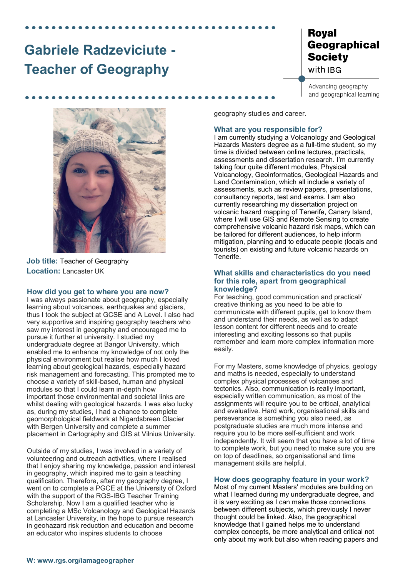# **Gabriele Radzeviciute - Teacher of Geography**

# **Royal** Geographical **Society** with IBG

Advancing geography and geographical learning



**Job title:** Teacher of Geography **Location:** Lancaster UK

#### **How did you get to where you are now?**

I was always passionate about geography, especially learning about volcanoes, earthquakes and glaciers, thus I took the subject at GCSE and A Level. I also had very supportive and inspiring geography teachers who saw my interest in geography and encouraged me to pursue it further at university. I studied my undergraduate degree at Bangor University, which enabled me to enhance my knowledge of not only the physical environment but realise how much I loved learning about geological hazards, especially hazard risk management and forecasting. This prompted me to choose a variety of skill-based, human and physical modules so that I could learn in-depth how important those environmental and societal links are whilst dealing with geological hazards. I was also lucky as, during my studies, I had a chance to complete geomorphological fieldwork at Nigardsbreen Glacier with Bergen University and complete a summer placement in Cartography and GIS at Vilnius University.

Outside of my studies, I was involved in a variety of volunteering and outreach activities, where I realised that I enjoy sharing my knowledge, passion and interest in geography, which inspired me to gain a teaching qualification. Therefore, after my geography degree, I went on to complete a PGCE at the University of Oxford with the support of the RGS-IBG Teacher Training Scholarship. Now I am a qualified teacher who is completing a MSc Volcanology and Geological Hazards at Lancaster University, in the hope to pursue research in geohazard risk reduction and education and become an educator who inspires students to choose

geography studies and career.

## **What are you responsible for?**

I am currently studying a Volcanology and Geological Hazards Masters degree as a full-time student, so my time is divided between online lectures, practicals, assessments and dissertation research. I'm currently taking four quite different modules, Physical Volcanology, Geoinformatics, Geological Hazards and Land Contamination, which all include a variety of assessments, such as review papers, presentations, consultancy reports, test and exams. I am also currently researching my dissertation project on volcanic hazard mapping of Tenerife, Canary Island, where I will use GIS and Remote Sensing to create comprehensive volcanic hazard risk maps, which can be tailored for different audiences, to help inform mitigation, planning and to educate people (locals and tourists) on existing and future volcanic hazards on Tenerife.

#### **What skills and characteristics do you need for this role, apart from geographical knowledge?**

For teaching, good communication and practical/ creative thinking as you need to be able to communicate with different pupils, get to know them and understand their needs, as well as to adapt lesson content for different needs and to create interesting and exciting lessons so that pupils remember and learn more complex information more easily.

For my Masters, some knowledge of physics, geology and maths is needed, especially to understand complex physical processes of volcanoes and tectonics. Also, communication is really important, especially written communication, as most of the assignments will require you to be critical, analytical and evaluative. Hard work, organisational skills and perseverance is something you also need, as postgraduate studies are much more intense and require you to be more self-sufficient and work independently. It will seem that you have a lot of time to complete work, but you need to make sure you are on top of deadlines, so organisational and time management skills are helpful.

### **How does geography feature in your work?**

Most of my current Masters' modules are building on what I learned during my undergraduate degree, and it is very exciting as I can make those connections between different subjects, which previously I never thought could be linked. Also, the geographical knowledge that I gained helps me to understand complex concepts, be more analytical and critical not only about my work but also when reading papers and